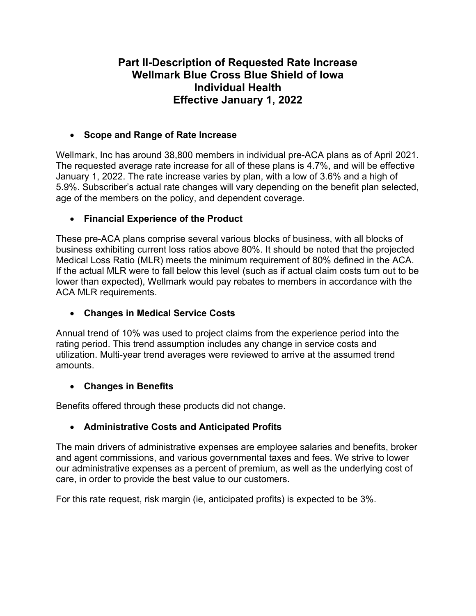# **Part II-Description of Requested Rate Increase Wellmark Blue Cross Blue Shield of Iowa Individual Health Effective January 1, 2022**

# **Scope and Range of Rate Increase**

Wellmark, Inc has around 38,800 members in individual pre-ACA plans as of April 2021. The requested average rate increase for all of these plans is 4.7%, and will be effective January 1, 2022. The rate increase varies by plan, with a low of 3.6% and a high of 5.9%. Subscriber's actual rate changes will vary depending on the benefit plan selected, age of the members on the policy, and dependent coverage.

# **Financial Experience of the Product**

These pre-ACA plans comprise several various blocks of business, with all blocks of business exhibiting current loss ratios above 80%. It should be noted that the projected Medical Loss Ratio (MLR) meets the minimum requirement of 80% defined in the ACA. If the actual MLR were to fall below this level (such as if actual claim costs turn out to be lower than expected), Wellmark would pay rebates to members in accordance with the ACA MLR requirements.

# **Changes in Medical Service Costs**

Annual trend of 10% was used to project claims from the experience period into the rating period. This trend assumption includes any change in service costs and utilization. Multi-year trend averages were reviewed to arrive at the assumed trend amounts.

## **Changes in Benefits**

Benefits offered through these products did not change.

# **Administrative Costs and Anticipated Profits**

The main drivers of administrative expenses are employee salaries and benefits, broker and agent commissions, and various governmental taxes and fees. We strive to lower our administrative expenses as a percent of premium, as well as the underlying cost of care, in order to provide the best value to our customers.

For this rate request, risk margin (ie, anticipated profits) is expected to be 3%.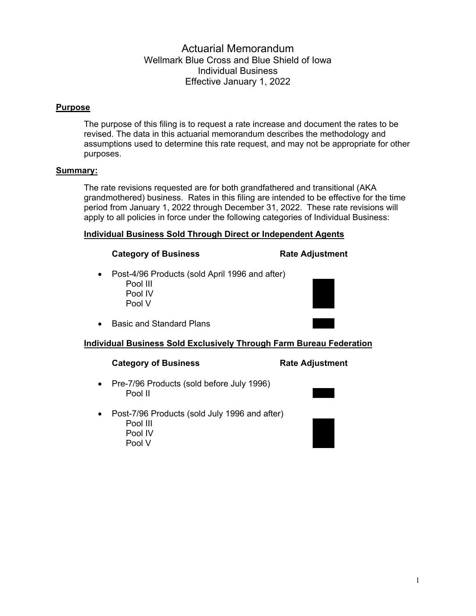## Actuarial Memorandum Wellmark Blue Cross and Blue Shield of Iowa Individual Business Effective January 1, 2022

### **Purpose**

The purpose of this filing is to request a rate increase and document the rates to be revised. The data in this actuarial memorandum describes the methodology and assumptions used to determine this rate request, and may not be appropriate for other purposes.

### **Summary:**

The rate revisions requested are for both grandfathered and transitional (AKA grandmothered) business. Rates in this filing are intended to be effective for the time period from January 1, 2022 through December 31, 2022. These rate revisions will apply to all policies in force under the following categories of Individual Business:

### **Individual Business Sold Through Direct or Independent Agents**

#### **Category of Business Rate Adjustment**

- Post-4/96 Products (sold April 1996 and after) Pool III …….. Pool IV Pool V ……..
- Basic and Standard Plans

### **Individual Business Sold Exclusively Through Farm Bureau Federation**

#### **Category of Business Category of Business Rate Adjustment**

- Pre-7/96 Products (sold before July 1996) Pool II ……..
- Post-7/96 Products (sold July 1996 and after) Pool III …….. Pool III<br>Pool IV Pool V ……..

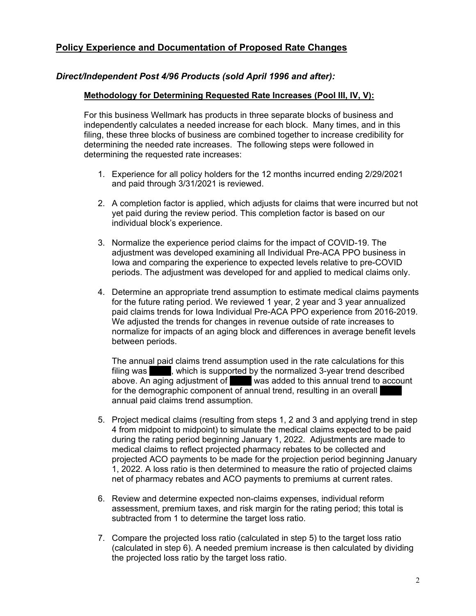## **Policy Experience and Documentation of Proposed Rate Changes**

### *Direct/Independent Post 4/96 Products (sold April 1996 and after):*

### **Methodology for Determining Requested Rate Increases (Pool III, IV, V):**

For this business Wellmark has products in three separate blocks of business and independently calculates a needed increase for each block. Many times, and in this filing, these three blocks of business are combined together to increase credibility for determining the needed rate increases. The following steps were followed in determining the requested rate increases:

- 1. Experience for all policy holders for the 12 months incurred ending 2/29/2021 and paid through 3/31/2021 is reviewed.
- 2. A completion factor is applied, which adjusts for claims that were incurred but not yet paid during the review period. This completion factor is based on our individual block's experience.
- 3. Normalize the experience period claims for the impact of COVID-19. The adjustment was developed examining all Individual Pre-ACA PPO business in Iowa and comparing the experience to expected levels relative to pre-COVID periods. The adjustment was developed for and applied to medical claims only.
- 4. Determine an appropriate trend assumption to estimate medical claims payments for the future rating period. We reviewed 1 year, 2 year and 3 year annualized paid claims trends for Iowa Individual Pre-ACA PPO experience from 2016-2019. We adjusted the trends for changes in revenue outside of rate increases to normalize for impacts of an aging block and differences in average benefit levels between periods.

The annual paid claims trend assumption used in the rate calculations for this filing was extending here is supported by the normalized 3-year trend described above. An aging adjustment of was added to this annual trend to account for the demographic component of annual trend, resulting in an overall annual paid claims trend assumption.

- 5. Project medical claims (resulting from steps 1, 2 and 3 and applying trend in step 4 from midpoint to midpoint) to simulate the medical claims expected to be paid during the rating period beginning January 1, 2022. Adjustments are made to medical claims to reflect projected pharmacy rebates to be collected and projected ACO payments to be made for the projection period beginning January 1, 2022. A loss ratio is then determined to measure the ratio of projected claims net of pharmacy rebates and ACO payments to premiums at current rates.
- 6. Review and determine expected non-claims expenses, individual reform assessment, premium taxes, and risk margin for the rating period; this total is subtracted from 1 to determine the target loss ratio.
- 7. Compare the projected loss ratio (calculated in step 5) to the target loss ratio (calculated in step 6). A needed premium increase is then calculated by dividing the projected loss ratio by the target loss ratio.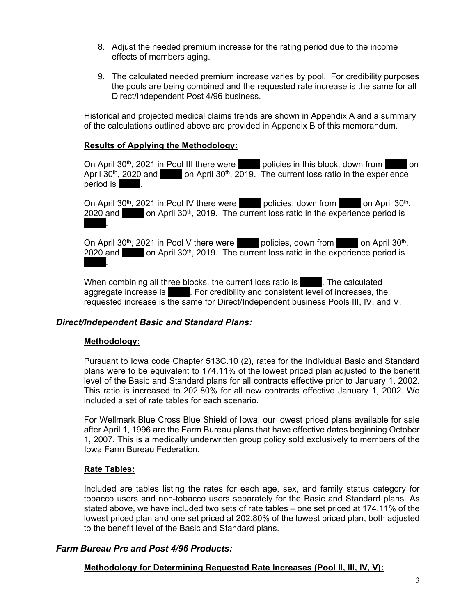- 8. Adjust the needed premium increase for the rating period due to the income effects of members aging.
- 9. The calculated needed premium increase varies by pool. For credibility purposes the pools are being combined and the requested rate increase is the same for all Direct/Independent Post 4/96 business.

Historical and projected medical claims trends are shown in Appendix A and a summary of the calculations outlined above are provided in Appendix B of this memorandum.

#### **Results of Applying the Methodology:**

On April 30<sup>th</sup>, 2021 in Pool III there were policies in this block, down from **the solution** on April  $30<sup>th</sup>$ , 2020 and  $\qquad$  on April  $30<sup>th</sup>$ , 2019. The current loss ratio in the experience period is

On April 30<sup>th</sup>, 2021 in Pool IV there were  $\blacksquare$  policies, down from  $\blacksquare$  on April 30<sup>th</sup>, 2020 and  $\Box$  on April 30<sup>th</sup>, 2019. The current loss ratio in the experience period is ……...

On April 30<sup>th</sup>, 2021 in Pool V there were  $\blacksquare$  policies, down from  $\blacksquare$  on April 30<sup>th</sup>, 2020 and  $\Box$  on April 30<sup>th</sup>, 2019. The current loss ratio in the experience period is ……...

When combining all three blocks, the current loss ratio is **Example 2.** The calculated aggregate increase is **Exercipt** . For credibility and consistent level of increases, the requested increase is the same for Direct/Independent business Pools III, IV, and V.

### *Direct/Independent Basic and Standard Plans:*

#### **Methodology:**

Pursuant to Iowa code Chapter 513C.10 (2), rates for the Individual Basic and Standard plans were to be equivalent to 174.11% of the lowest priced plan adjusted to the benefit level of the Basic and Standard plans for all contracts effective prior to January 1, 2002. This ratio is increased to 202.80% for all new contracts effective January 1, 2002. We included a set of rate tables for each scenario.

For Wellmark Blue Cross Blue Shield of Iowa, our lowest priced plans available for sale after April 1, 1996 are the Farm Bureau plans that have effective dates beginning October 1, 2007. This is a medically underwritten group policy sold exclusively to members of the Iowa Farm Bureau Federation.

#### **Rate Tables:**

Included are tables listing the rates for each age, sex, and family status category for tobacco users and non-tobacco users separately for the Basic and Standard plans. As stated above, we have included two sets of rate tables – one set priced at 174.11% of the lowest priced plan and one set priced at 202.80% of the lowest priced plan, both adjusted to the benefit level of the Basic and Standard plans.

### *Farm Bureau Pre and Post 4/96 Products:*

### **Methodology for Determining Requested Rate Increases (Pool II, III, IV, V):**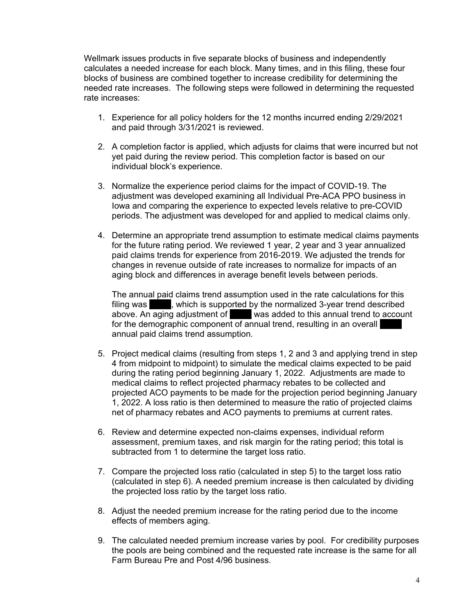Wellmark issues products in five separate blocks of business and independently calculates a needed increase for each block. Many times, and in this filing, these four blocks of business are combined together to increase credibility for determining the needed rate increases. The following steps were followed in determining the requested rate increases:

- 1. Experience for all policy holders for the 12 months incurred ending 2/29/2021 and paid through 3/31/2021 is reviewed.
- 2. A completion factor is applied, which adjusts for claims that were incurred but not yet paid during the review period. This completion factor is based on our individual block's experience.
- 3. Normalize the experience period claims for the impact of COVID-19. The adjustment was developed examining all Individual Pre-ACA PPO business in Iowa and comparing the experience to expected levels relative to pre-COVID periods. The adjustment was developed for and applied to medical claims only.
- 4. Determine an appropriate trend assumption to estimate medical claims payments for the future rating period. We reviewed 1 year, 2 year and 3 year annualized paid claims trends for experience from 2016-2019. We adjusted the trends for changes in revenue outside of rate increases to normalize for impacts of an aging block and differences in average benefit levels between periods.

The annual paid claims trend assumption used in the rate calculations for this filing was **EXEC in the interported by the normalized 3-year trend described** above. An aging adjustment of **was added to this annual trend to account** for the demographic component of annual trend, resulting in an overall annual paid claims trend assumption.

- 5. Project medical claims (resulting from steps 1, 2 and 3 and applying trend in step 4 from midpoint to midpoint) to simulate the medical claims expected to be paid during the rating period beginning January 1, 2022. Adjustments are made to medical claims to reflect projected pharmacy rebates to be collected and projected ACO payments to be made for the projection period beginning January 1, 2022. A loss ratio is then determined to measure the ratio of projected claims net of pharmacy rebates and ACO payments to premiums at current rates.
- 6. Review and determine expected non-claims expenses, individual reform assessment, premium taxes, and risk margin for the rating period; this total is subtracted from 1 to determine the target loss ratio.
- 7. Compare the projected loss ratio (calculated in step 5) to the target loss ratio (calculated in step 6). A needed premium increase is then calculated by dividing the projected loss ratio by the target loss ratio.
- 8. Adjust the needed premium increase for the rating period due to the income effects of members aging.
- 9. The calculated needed premium increase varies by pool. For credibility purposes the pools are being combined and the requested rate increase is the same for all Farm Bureau Pre and Post 4/96 business.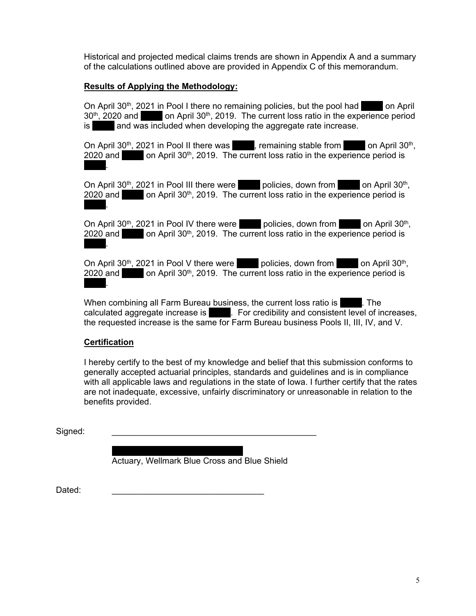Historical and projected medical claims trends are shown in Appendix A and a summary of the calculations outlined above are provided in Appendix C of this memorandum.

## **Results of Applying the Methodology:**

On April 30<sup>th</sup>, 2021 in Pool I there no remaining policies, but the pool had **in a political** on April 30<sup>th</sup>, 2020 and **Exercise 2019.** The current loss ratio in the experience period is and was included when developing the aggregate rate increase.

On April 30<sup>th</sup>, 2021 in Pool II there was  $\frac{1}{10}$ , remaining stable from  $\frac{1}{100}$  on April 30<sup>th</sup>,  $2020$  and  $\blacksquare$  on April 30<sup>th</sup>, 2019. The current loss ratio in the experience period is ……...

On April 30<sup>th</sup>, 2021 in Pool III there were policies, down from **Election April 30<sup>th</sup>**, 2020 and  $\Box$  on April 30<sup>th</sup>, 2019. The current loss ratio in the experience period is ……...

On April  $30<sup>th</sup>$ , 2021 in Pool IV there were equal policies, down from  $\blacksquare$  on April 30<sup>th</sup>, 2020 and  $\blacksquare$  on April 30<sup>th</sup>, 2019. The current loss ratio in the experience period is ……...

On April 30<sup>th</sup>, 2021 in Pool V there were  $\blacksquare$  policies, down from  $\blacksquare$  on April 30<sup>th</sup>, 2020 and  $\Box$  on April 30<sup>th</sup>, 2019. The current loss ratio in the experience period is ……...

When combining all Farm Bureau business, the current loss ratio is **Example 2**. The calculated aggregate increase is  $\blacksquare$ . For credibility and consistent level of increases, the requested increase is the same for Farm Bureau business Pools II, III, IV, and V.

### **Certification**

I hereby certify to the best of my knowledge and belief that this submission conforms to generally accepted actuarial principles, standards and guidelines and is in compliance with all applicable laws and regulations in the state of Iowa. I further certify that the rates are not inadequate, excessive, unfairly discriminatory or unreasonable in relation to the benefits provided.

Signed: \_\_\_\_\_\_\_\_\_\_\_\_\_\_\_\_\_\_\_\_\_\_\_\_\_\_\_\_\_\_\_\_\_\_\_\_\_\_\_\_\_\_\_

……..……..……..……..……..…….. Actuary, Wellmark Blue Cross and Blue Shield

Dated: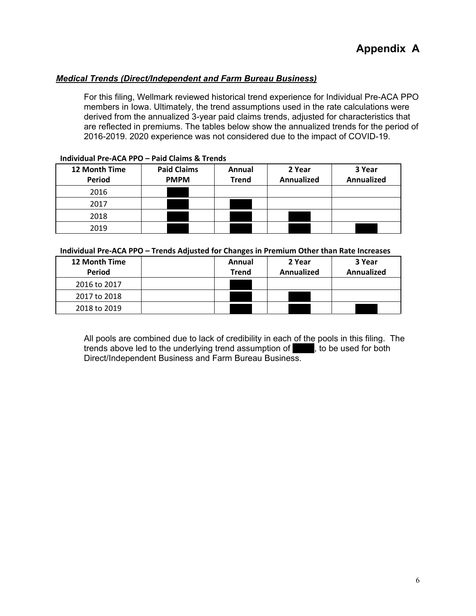### *Medical Trends (Direct/Independent and Farm Bureau Business)*

For this filing, Wellmark reviewed historical trend experience for Individual Pre-ACA PPO members in Iowa. Ultimately, the trend assumptions used in the rate calculations were derived from the annualized 3-year paid claims trends, adjusted for characteristics that are reflected in premiums. The tables below show the annualized trends for the period of 2016-2019. 2020 experience was not considered due to the impact of COVID-19.

| 12 Month Time<br>Period | <b>Paid Claims</b><br><b>PMPM</b> | Annual<br><b>Trend</b> | 2 Year<br>Annualized | 3 Year<br><b>Annualized</b> |
|-------------------------|-----------------------------------|------------------------|----------------------|-----------------------------|
| 2016                    |                                   |                        |                      |                             |
| 2017                    |                                   |                        |                      |                             |
| 2018                    |                                   |                        |                      |                             |
| 2019                    |                                   |                        |                      |                             |

#### **Individual Pre‐ACA PPO – Paid Claims & Trends**

#### **Individual Pre‐ACA PPO – Trends Adjusted for Changes in Premium Other than Rate Increases**

| 12 Month Time<br><b>Period</b> | Annual<br><b>Trend</b> | 2 Year<br><b>Annualized</b> | 3 Year<br>Annualized |  |
|--------------------------------|------------------------|-----------------------------|----------------------|--|
| 2016 to 2017                   |                        |                             |                      |  |
| 2017 to 2018                   |                        |                             |                      |  |
| 2018 to 2019                   |                        |                             |                      |  |

All pools are combined due to lack of credibility in each of the pools in this filing. The trends above led to the underlying trend assumption of which to be used for both Direct/Independent Business and Farm Bureau Business.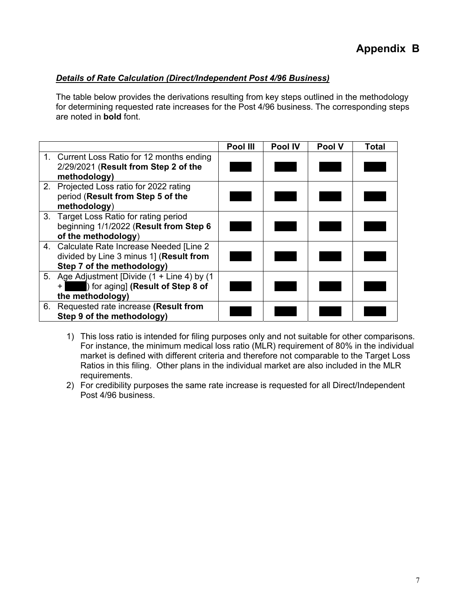## *Details of Rate Calculation (Direct/Independent Post 4/96 Business)*

The table below provides the derivations resulting from key steps outlined in the methodology for determining requested rate increases for the Post 4/96 business. The corresponding steps are noted in **bold** font.

|    |                                                                                                                    | Pool III | Pool IV | Pool V | Total |
|----|--------------------------------------------------------------------------------------------------------------------|----------|---------|--------|-------|
|    | 1. Current Loss Ratio for 12 months ending<br>2/29/2021 (Result from Step 2 of the<br>methodology)                 |          |         |        |       |
|    | 2. Projected Loss ratio for 2022 rating<br>period (Result from Step 5 of the<br>methodology)                       |          |         |        |       |
|    | 3. Target Loss Ratio for rating period<br>beginning 1/1/2022 (Result from Step 6<br>of the methodology)            |          |         |        |       |
|    | 4. Calculate Rate Increase Needed [Line 2<br>divided by Line 3 minus 1] (Result from<br>Step 7 of the methodology) |          |         |        |       |
|    | 5. Age Adjustment [Divide (1 + Line 4) by (1<br>) for aging] (Result of Step 8 of<br>$+$<br>the methodology)       |          |         |        |       |
| 6. | Requested rate increase (Result from<br>Step 9 of the methodology)                                                 |          |         |        |       |

- 1) This loss ratio is intended for filing purposes only and not suitable for other comparisons. For instance, the minimum medical loss ratio (MLR) requirement of 80% in the individual market is defined with different criteria and therefore not comparable to the Target Loss Ratios in this filing. Other plans in the individual market are also included in the MLR requirements.
- 2) For credibility purposes the same rate increase is requested for all Direct/Independent Post 4/96 business.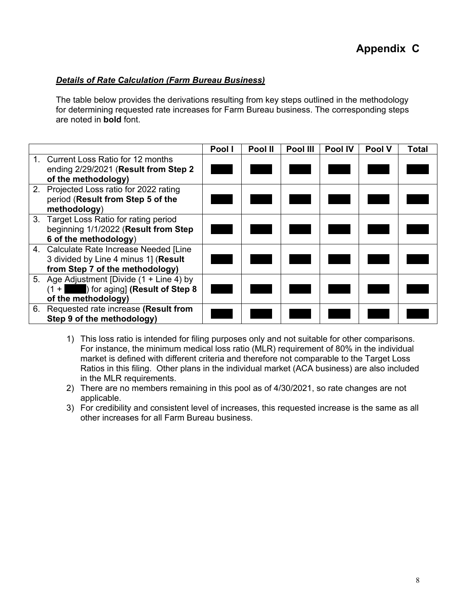## *Details of Rate Calculation (Farm Bureau Business)*

The table below provides the derivations resulting from key steps outlined in the methodology for determining requested rate increases for Farm Bureau business. The corresponding steps are noted in **bold** font.

|                                                                                                                    | Pool I | Pool II | Pool III | <b>Pool IV</b> | <b>Pool V</b> | Total |
|--------------------------------------------------------------------------------------------------------------------|--------|---------|----------|----------------|---------------|-------|
| 1. Current Loss Ratio for 12 months<br>ending 2/29/2021 (Result from Step 2<br>of the methodology)                 |        |         |          |                |               |       |
| 2. Projected Loss ratio for 2022 rating<br>period (Result from Step 5 of the<br>methodology)                       |        |         |          |                |               |       |
| 3. Target Loss Ratio for rating period<br>beginning 1/1/2022 (Result from Step<br>6 of the methodology)            |        |         |          |                |               |       |
| 4. Calculate Rate Increase Needed [Line<br>3 divided by Line 4 minus 1] (Result<br>from Step 7 of the methodology) |        |         |          |                |               |       |
| 5. Age Adjustment [Divide (1 + Line 4) by<br>) for aging] (Result of Step 8<br>$(1 + 1)$<br>of the methodology)    |        |         |          |                |               |       |
| 6. Requested rate increase (Result from<br>Step 9 of the methodology)                                              |        |         |          |                |               |       |

- 1) This loss ratio is intended for filing purposes only and not suitable for other comparisons. For instance, the minimum medical loss ratio (MLR) requirement of 80% in the individual market is defined with different criteria and therefore not comparable to the Target Loss Ratios in this filing. Other plans in the individual market (ACA business) are also included in the MLR requirements.
- 2) There are no members remaining in this pool as of 4/30/2021, so rate changes are not applicable.
- 3) For credibility and consistent level of increases, this requested increase is the same as all other increases for all Farm Bureau business.